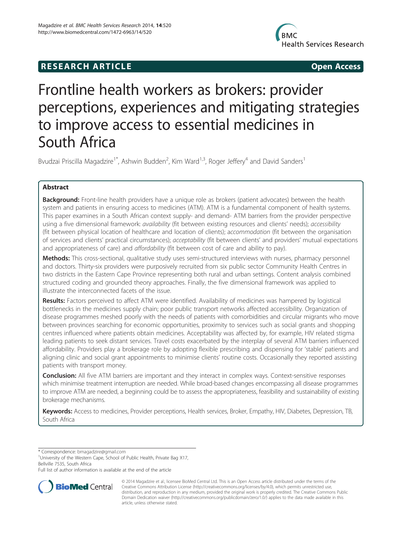# **RESEARCH ARTICLE Example 2014 12:30 The SEAR CHA RESEARCH ARTICLE**



# Frontline health workers as brokers: provider perceptions, experiences and mitigating strategies to improve access to essential medicines in South Africa

Bvudzai Priscilla Magadzire<sup>1\*</sup>, Ashwin Budden<sup>2</sup>, Kim Ward<sup>1,3</sup>, Roger Jeffery<sup>4</sup> and David Sanders<sup>1</sup>

# Abstract

Background: Front-line health providers have a unique role as brokers (patient advocates) between the health system and patients in ensuring access to medicines (ATM). ATM is a fundamental component of health systems. This paper examines in a South African context supply- and demand- ATM barriers from the provider perspective using a five dimensional framework: availability (fit between existing resources and clients' needs); accessibility (fit between physical location of healthcare and location of clients); accommodation (fit between the organisation of services and clients' practical circumstances); acceptability (fit between clients' and providers' mutual expectations and appropriateness of care) and affordability (fit between cost of care and ability to pay).

Methods: This cross-sectional, qualitative study uses semi-structured interviews with nurses, pharmacy personnel and doctors. Thirty-six providers were purposively recruited from six public sector Community Health Centres in two districts in the Eastern Cape Province representing both rural and urban settings. Content analysis combined structured coding and grounded theory approaches. Finally, the five dimensional framework was applied to illustrate the interconnected facets of the issue.

Results: Factors perceived to affect ATM were identified. Availability of medicines was hampered by logistical bottlenecks in the medicines supply chain; poor public transport networks affected accessibility. Organization of disease programmes meshed poorly with the needs of patients with comorbidities and circular migrants who move between provinces searching for economic opportunities, proximity to services such as social grants and shopping centres influenced where patients obtain medicines. Acceptability was affected by, for example, HIV related stigma leading patients to seek distant services. Travel costs exacerbated by the interplay of several ATM barriers influenced affordability. Providers play a brokerage role by adopting flexible prescribing and dispensing for 'stable' patients and aligning clinic and social grant appointments to minimise clients' routine costs. Occasionally they reported assisting patients with transport money.

**Conclusion:** All five ATM barriers are important and they interact in complex ways. Context-sensitive responses which minimise treatment interruption are needed. While broad-based changes encompassing all disease programmes to improve ATM are needed, a beginning could be to assess the appropriateness, feasibility and sustainability of existing brokerage mechanisms.

Keywords: Access to medicines, Provider perceptions, Health services, Broker, Empathy, HIV, Diabetes, Depression, TB, South Africa

\* Correspondence: [bmagadzire@gmail.com](mailto:bmagadzire@gmail.com) <sup>1</sup>

<sup>1</sup>University of the Western Cape, School of Public Health, Private Bag X17, Bellville 7535, South Africa

Full list of author information is available at the end of the article



© 2014 Magadzire et al.; licensee BioMed Central Ltd. This is an Open Access article distributed under the terms of the Creative Commons Attribution License (<http://creativecommons.org/licenses/by/4.0>), which permits unrestricted use, distribution, and reproduction in any medium, provided the original work is properly credited. The Creative Commons Public Domain Dedication waiver [\(http://creativecommons.org/publicdomain/zero/1.0/\)](http://creativecommons.org/publicdomain/zero/1.0/) applies to the data made available in this article, unless otherwise stated.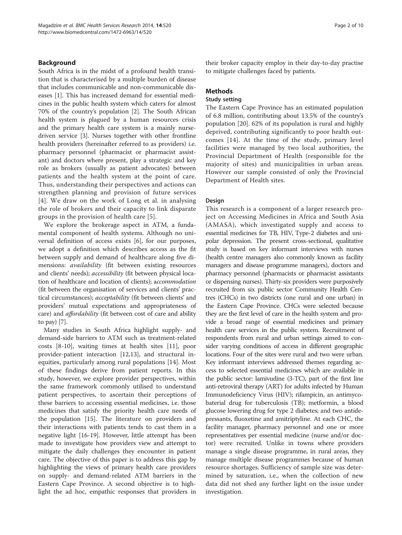# Background

South Africa is in the midst of a profound health transition that is characterised by a multiple burden of disease that includes communicable and non-communicable diseases [\[1\]](#page-8-0). This has increased demand for essential medicines in the public health system which caters for almost 70% of the country's population [\[2\]](#page-8-0). The South African health system is plagued by a human resources crisis and the primary health care system is a mainly nursedriven service [\[3\]](#page-8-0). Nurses together with other frontline health providers (hereinafter referred to as providers) i.e. pharmacy personnel (pharmacist or pharmacist assistant) and doctors where present, play a strategic and key role as brokers (usually as patient advocates) between patients and the health system at the point of care. Thus, understanding their perspectives and actions can strengthen planning and provision of future services [[4](#page-8-0)]. We draw on the work of Long et al. in analysing the role of brokers and their capacity to link disparate groups in the provision of health care [\[5\]](#page-8-0).

We explore the brokerage aspect in ATM, a fundamental component of health systems. Although no universal definition of access exists [[6\]](#page-8-0), for our purposes, we adopt a definition which describes access as the fit between supply and demand of healthcare along five dimensions: availability (fit between existing resources and clients' needs); accessibility (fit between physical location of healthcare and location of clients); accommodation (fit between the organisation of services and clients' practical circumstances); acceptability (fit between clients' and providers' mutual expectations and appropriateness of care) and affordability (fit between cost of care and ability to pay) [\[7\]](#page-9-0).

Many studies in South Africa highlight supply- and demand-side barriers to ATM such as treatment-related costs [\[8](#page-9-0)-[10](#page-9-0)], waiting times at health sites [\[11](#page-9-0)], poor provider-patient interaction [\[12,13\]](#page-9-0), and structural inequities, particularly among rural populations [\[14\]](#page-9-0). Most of these findings derive from patient reports. In this study, however, we explore provider perspectives, within the same framework commonly utilised to understand patient perspectives, to ascertain their perceptions of these barriers to accessing essential medicines, i.e. those medicines that satisfy the priority health care needs of the population [[15](#page-9-0)]. The literature on providers and their interactions with patients tends to cast them in a negative light [\[16-19](#page-9-0)]. However, little attempt has been made to investigate how providers view and attempt to mitigate the daily challenges they encounter in patient care. The objective of this paper is to address this gap by highlighting the views of primary health care providers on supply- and demand-related ATM barriers in the Eastern Cape Province. A second objective is to highlight the ad hoc, empathic responses that providers in their broker capacity employ in their day-to-day practise to mitigate challenges faced by patients.

# Methods

# Study setting

The Eastern Cape Province has an estimated population of 6.8 million, contributing about 13.5% of the country's population [[20\]](#page-9-0). 62% of its population is rural and highly deprived, contributing significantly to poor health outcomes [[14](#page-9-0)]. At the time of the study, primary level facilities were managed by two local authorities, the Provincial Department of Health (responsible for the majority of sites) and municipalities in urban areas. However our sample consisted of only the Provincial Department of Health sites.

## Design

This research is a component of a larger research project on Accessing Medicines in Africa and South Asia (AMASA), which investigated supply and access to essential medicines for TB, HIV, Type-2 diabetes and unipolar depression. The present cross-sectional, qualitative study is based on key informant interviews with nurses (health centre managers also commonly known as facility managers and disease programme managers), doctors and pharmacy personnel (pharmacists or pharmacist assistants or dispensing nurses). Thirty-six providers were purposively recruited from six public sector Community Health Centres (CHCs) in two districts (one rural and one urban) in the Eastern Cape Province. CHCs were selected because they are the first level of care in the health system and provide a broad range of essential medicines and primary health care services in the public system. Recruitment of respondents from rural and urban settings aimed to consider varying conditions of access in different geographic locations. Four of the sites were rural and two were urban. Key informant interviews addressed themes regarding access to selected essential medicines which are available in the public sector: lamivudine (3-TC), part of the first line anti-retroviral therapy (ART) for adults infected by Human Immunodeficiency Virus (HIV); rifampicin, an antimycobaterial drug for tuberculosis (TB); metformin, a blood glucose lowering drug for type 2 diabetes; and two antidepressants, fluoxetine and amitriptyline. At each CHC, the facility manager, pharmacy personnel and one or more representatives per essential medicine (nurse and/or doctor) were recruited. Unlike in towns where providers manage a single disease programme, in rural areas, they manage multiple disease programmes because of human resource shortages. Sufficiency of sample size was determined by saturation, i.e., when the collection of new data did not shed any further light on the issue under investigation.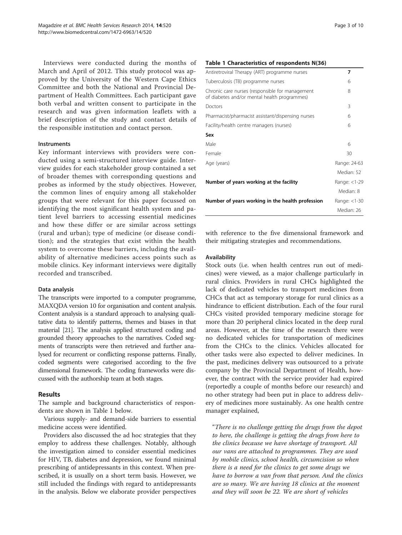Interviews were conducted during the months of March and April of 2012. This study protocol was approved by the University of the Western Cape Ethics Committee and both the National and Provincial Department of Health Committees. Each participant gave both verbal and written consent to participate in the research and was given information leaflets with a brief description of the study and contact details of the responsible institution and contact person.

#### Instruments

Key informant interviews with providers were conducted using a semi-structured interview guide. Interview guides for each stakeholder group contained a set of broader themes with corresponding questions and probes as informed by the study objectives. However, the common lines of enquiry among all stakeholder groups that were relevant for this paper focussed on identifying the most significant health system and patient level barriers to accessing essential medicines and how these differ or are similar across settings (rural and urban); type of medicine (or disease condition); and the strategies that exist within the health system to overcome these barriers, including the availability of alternative medicines access points such as mobile clinics. Key informant interviews were digitally recorded and transcribed.

#### Data analysis

The transcripts were imported to a computer programme, MAXQDA version 10 for organisation and content analysis. Content analysis is a standard approach to analysing qualitative data to identify patterns, themes and biases in that material [[21](#page-9-0)]. The analysis applied structured coding and grounded theory approaches to the narratives. Coded segments of transcripts were then retrieved and further analysed for recurrent or conflicting response patterns. Finally, coded segments were categorised according to the five dimensional framework. The coding frameworks were discussed with the authorship team at both stages.

#### Results

The sample and background characteristics of respondents are shown in Table 1 below.

Various supply- and demand-side barriers to essential medicine access were identified.

Providers also discussed the ad hoc strategies that they employ to address these challenges. Notably, although the investigation aimed to consider essential medicines for HIV, TB, diabetes and depression, we found minimal prescribing of antidepressants in this context. When prescribed, it is usually on a short term basis. However, we still included the findings with regard to antidepressants in the analysis. Below we elaborate provider perspectives

#### Table 1 Characteristics of respondents N(36)

| Antiretroviral Therapy (ART) programme nurses                                                   | 7            |
|-------------------------------------------------------------------------------------------------|--------------|
| Tuberculosis (TB) programme nurses                                                              | 6            |
| Chronic care nurses (responsible for management<br>of diabetes and/or mental health programmes) | 8            |
| Doctors                                                                                         | 3            |
| Pharmacist/pharmacist assistant/dispensing nurses                                               | 6            |
| Facility/health centre managers (nurses)                                                        | 6            |
| Sex                                                                                             |              |
| Male                                                                                            | 6            |
| Female                                                                                          | 30           |
| Age (years)                                                                                     | Range: 24-63 |
|                                                                                                 | Median: 52   |
| Number of years working at the facility                                                         | Range: <1-29 |
|                                                                                                 | Median: 8    |
| Number of years working in the health profession                                                | Range: <1-30 |
|                                                                                                 | Median: 26   |

with reference to the five dimensional framework and their mitigating strategies and recommendations.

#### Availability

Stock outs (i.e. when health centres run out of medicines) were viewed, as a major challenge particularly in rural clinics. Providers in rural CHCs highlighted the lack of dedicated vehicles to transport medicines from CHCs that act as temporary storage for rural clinics as a hindrance to efficient distribution. Each of the four rural CHCs visited provided temporary medicine storage for more than 20 peripheral clinics located in the deep rural areas. However, at the time of the research there were no dedicated vehicles for transportation of medicines from the CHCs to the clinics. Vehicles allocated for other tasks were also expected to deliver medicines. In the past, medicines delivery was outsourced to a private company by the Provincial Department of Health, however, the contract with the service provider had expired (reportedly a couple of months before our research) and no other strategy had been put in place to address delivery of medicines more sustainably. As one health centre manager explained,

"There is no challenge getting the drugs from the depot to here, the challenge is getting the drugs from here to the clinics because we have shortage of transport. All our vans are attached to programmes. They are used by mobile clinics, school health, circumcision so when there is a need for the clinics to get some drugs we have to borrow a van from that person. And the clinics are so many. We are having 18 clinics at the moment and they will soon be 22. We are short of vehicles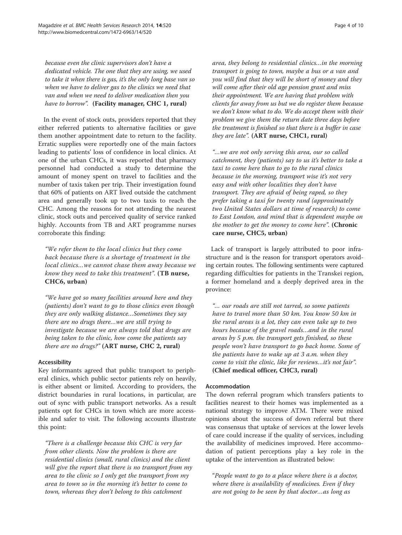because even the clinic supervisors don't have a dedicated vehicle. The one that they are using, we used to take it when there is gas, it's the only long base van so when we have to deliver gas to the clinics we need that van and when we need to deliver medication then you have to borrow". (Facility manager, CHC 1, rural)

In the event of stock outs, providers reported that they either referred patients to alternative facilities or gave them another appointment date to return to the facility. Erratic supplies were reportedly one of the main factors leading to patients' loss of confidence in local clinics. At one of the urban CHCs, it was reported that pharmacy personnel had conducted a study to determine the amount of money spent on travel to facilities and the number of taxis taken per trip. Their investigation found that 60% of patients on ART lived outside the catchment area and generally took up to two taxis to reach the CHC. Among the reasons for not attending the nearest clinic, stock outs and perceived quality of service ranked highly. Accounts from TB and ART programme nurses corroborate this finding:

"We refer them to the local clinics but they come back because there is a shortage of treatment in the local clinics…we cannot chase them away because we know they need to take this treatment". (TB nurse, CHC6, urban)

"We have got so many facilities around here and they (patients) don't want to go to those clinics even though they are only walking distance…Sometimes they say there are no drugs there…we are still trying to investigate because we are always told that drugs are being taken to the clinic, how come the patients say there are no drugs?" (ART nurse, CHC 2, rural)

# Accessibility

Key informants agreed that public transport to peripheral clinics, which public sector patients rely on heavily, is either absent or limited. According to providers, the district boundaries in rural locations, in particular, are out of sync with public transport networks. As a result patients opt for CHCs in town which are more accessible and safer to visit. The following accounts illustrate this point:

"There is a challenge because this CHC is very far from other clients. Now the problem is there are residential clinics (small, rural clinics) and the client will give the report that there is no transport from my area to the clinic so I only get the transport from my area to town so in the morning it's better to come to town, whereas they don't belong to this catchment

area, they belong to residential clinics…in the morning transport is going to town, maybe a bus or a van and you will find that they will be short of money and they will come after their old age pension grant and miss their appointment. We are having that problem with clients far away from us but we do register them because we don't know what to do. We do accept them with their problem we give them the return date three days before the treatment is finished so that there is a buffer in case they are late". (ART nurse, CHC1, rural)

"…we are not only serving this area, our so called catchment, they (patients) say to us it's better to take a taxi to come here than to go to the rural clinics because in the morning, transport wise it's not very easy and with other localities they don't have transport. They are afraid of being raped, so they prefer taking a taxi for twenty rand (approximately two United States dollars at time of research) to come to East London, and mind that is dependent maybe on the mother to get the money to come here". (Chronic care nurse, CHC5, urban)

Lack of transport is largely attributed to poor infrastructure and is the reason for transport operators avoiding certain routes. The following sentiments were captured regarding difficulties for patients in the Transkei region, a former homeland and a deeply deprived area in the province:

"… our roads are still not tarred, so some patients have to travel more than 50 km. You know 50 km in the rural areas is a lot, they can even take up to two hours because of the gravel roads…and in the rural areas by 5 p.m. the transport gets finished, so these people won't have transport to go back home. Some of the patients have to wake up at 3 a.m. when they come to visit the clinic, like for reviews…it's not fair". (Chief medical officer, CHC3, rural)

## Accommodation

The down referral program which transfers patients to facilities nearest to their homes was implemented as a national strategy to improve ATM. There were mixed opinions about the success of down referral but there was consensus that uptake of services at the lower levels of care could increase if the quality of services, including the availability of medicines improved. Here accommodation of patient perceptions play a key role in the uptake of the intervention as illustrated below:

"People want to go to a place where there is a doctor, where there is availability of medicines. Even if they are not going to be seen by that doctor…as long as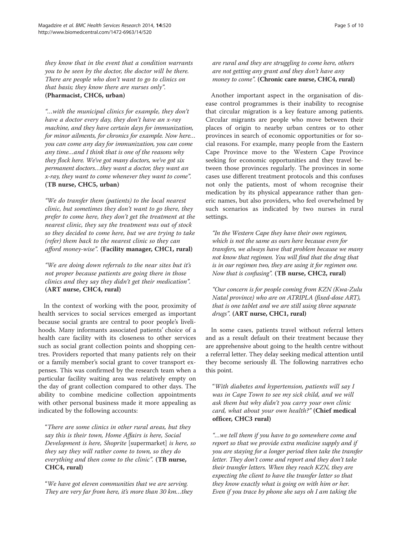they know that in the event that a condition warrants you to be seen by the doctor, the doctor will be there. There are people who don't want to go to clinics on that basis; they know there are nurses only". (Pharmacist, CHC6, urban)

"…with the municipal clinics for example, they don't have a doctor every day, they don't have an x-ray machine, and they have certain days for immunization, for minor ailments, for chronics for example. Now here… you can come any day for immunization, you can come any time…and I think that is one of the reasons why they flock here. We've got many doctors, we've got six permanent doctors…they want a doctor, they want an x-ray, they want to come whenever they want to come". (TB nurse, CHC5, urban)

"We do transfer them (patients) to the local nearest clinic, but sometimes they don't want to go there, they prefer to come here, they don't get the treatment at the nearest clinic, they say the treatment was out of stock so they decided to come here, but we are trying to take (refer) them back to the nearest clinic so they can afford money-wise". (Facility manager, CHC1, rural)

"We are doing down referrals to the near sites but it's not proper because patients are going there in those clinics and they say they didn't get their medication". (ART nurse, CHC4, rural)

In the context of working with the poor, proximity of health services to social services emerged as important because social grants are central to poor people's livelihoods. Many informants associated patients' choice of a health care facility with its closeness to other services such as social grant collection points and shopping centres. Providers reported that many patients rely on their or a family member's social grant to cover transport expenses. This was confirmed by the research team when a particular facility waiting area was relatively empty on the day of grant collection compared to other days. The ability to combine medicine collection appointments with other personal business made it more appealing as indicated by the following accounts:

"There are some clinics in other rural areas, but they say this is their town, Home Affairs is here, Social Development is here, Shoprite [supermarket] is here, so they say they will rather come to town, so they do everything and then come to the clinic". (TB nurse, CHC4, rural)

"We have got eleven communities that we are serving. They are very far from here, it's more than 30 km...they are rural and they are struggling to come here, others are not getting any grant and they don't have any money to come". (Chronic care nurse, CHC4, rural)

Another important aspect in the organisation of disease control programmes is their inability to recognise that circular migration is a key feature among patients. Circular migrants are people who move between their places of origin to nearby urban centres or to other provinces in search of economic opportunities or for social reasons. For example, many people from the Eastern Cape Province move to the Western Cape Province seeking for economic opportunities and they travel between those provinces regularly. The provinces in some cases use different treatment protocols and this confuses not only the patients, most of whom recognise their medication by its physical appearance rather than generic names, but also providers, who feel overwhelmed by such scenarios as indicated by two nurses in rural settings.

"In the Western Cape they have their own regimen, which is not the same as ours here because even for transfers, we always have that problem because we many not know that regimen. You will find that the drug that is in our regimen two, they are using it for regimen one. Now that is confusing". (TB nurse, CHC2, rural)

"Our concern is for people coming from KZN (Kwa-Zulu Natal province) who are on ATRIPLA (fixed-dose ART), that is one tablet and we are still using three separate drugs". (ART nurse, CHC1, rural)

In some cases, patients travel without referral letters and as a result default on their treatment because they are apprehensive about going to the health centre without a referral letter. They delay seeking medical attention until they become seriously ill. The following narratives echo this point.

"With diabetes and hypertension, patients will say I was in Cape Town to see my sick child, and we will ask them but why didn't you carry your own clinic card, what about your own health?" (Chief medical officer, CHC3 rural)

"…we tell them if you have to go somewhere come and report so that we provide extra medicine supply and if you are staying for a longer period then take the transfer letter. They don't come and report and they don't take their transfer letters. When they reach KZN, they are expecting the client to have the transfer letter so that they know exactly what is going on with him or her. Even if you trace by phone she says oh I am taking the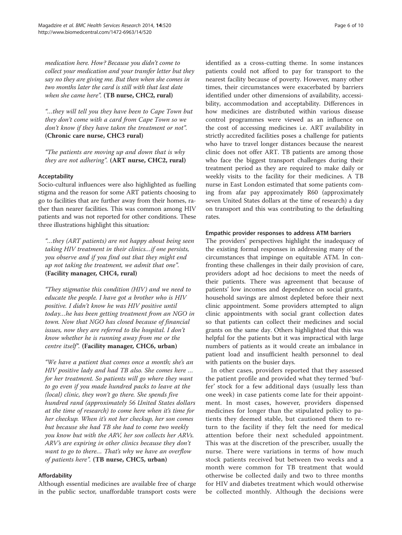medication here. How? Because you didn't come to collect your medication and your transfer letter but they say no they are giving me. But then when she comes in two months later the card is still with that last date when she came here". (TB nurse, CHC2, rural)

"…they will tell you they have been to Cape Town but they don't come with a card from Cape Town so we don't know if they have taken the treatment or not". (Chronic care nurse, CHC3 rural)

"The patients are moving up and down that is why they are not adhering". (ART nurse, CHC2, rural)

#### Acceptability

Socio-cultural influences were also highlighted as fuelling stigma and the reason for some ART patients choosing to go to facilities that are further away from their homes, rather than nearer facilities. This was common among HIV patients and was not reported for other conditions. These three illustrations highlight this situation:

"…they (ART patients) are not happy about being seen taking HIV treatment in their clinics…if one persists, you observe and if you find out that they might end up not taking the treatment, we admit that one". (Facility manager, CHC4, rural)

"They stigmatise this condition (HIV) and we need to educate the people. I have got a brother who is HIV positive. I didn't know he was HIV positive until today…he has been getting treatment from an NGO in town. Now that NGO has closed because of financial issues, now they are referred to the hospital. I don't know whether he is running away from me or the centre itself". (Facility manager, CHC6, urban)

"We have a patient that comes once a month; she's an HIV positive lady and had TB also. She comes here … for her treatment. So patients will go where they want to go even if you made hundred packs to leave at the (local) clinic, they won't go there. She spends five hundred rand (approximately 56 United States dollars at the time of research) to come here when it's time for her checkup. When it's not her checkup, her son comes but because she had TB she had to come two weekly you know but with the ARV, her son collects her ARVs. ARV's are expiring in other clinics because they don't want to go to there… That's why we have an overflow of patients here". (TB nurse, CHC5, urban)

#### Affordability

Although essential medicines are available free of charge in the public sector, unaffordable transport costs were identified as a cross-cutting theme. In some instances patients could not afford to pay for transport to the nearest facility because of poverty. However, many other times, their circumstances were exacerbated by barriers identified under other dimensions of availability, accessibility, accommodation and acceptability. Differences in how medicines are distributed within various disease control programmes were viewed as an influence on the cost of accessing medicines i.e. ART availability in strictly accredited facilities poses a challenge for patients who have to travel longer distances because the nearest clinic does not offer ART. TB patients are among those who face the biggest transport challenges during their treatment period as they are required to make daily or weekly visits to the facility for their medicines. A TB nurse in East London estimated that some patients coming from afar pay approximately R60 (approximately seven United States dollars at the time of research) a day on transport and this was contributing to the defaulting rates.

## Empathic provider responses to address ATM barriers

The providers' perspectives highlight the inadequacy of the existing formal responses in addressing many of the circumstances that impinge on equitable ATM. In confronting these challenges in their daily provision of care, providers adopt ad hoc decisions to meet the needs of their patients. There was agreement that because of patients' low incomes and dependence on social grants, household savings are almost depleted before their next clinic appointment. Some providers attempted to align clinic appointments with social grant collection dates so that patients can collect their medicines and social grants on the same day. Others highlighted that this was helpful for the patients but it was impractical with large numbers of patients as it would create an imbalance in patient load and insufficient health personnel to deal with patients on the busier days.

In other cases, providers reported that they assessed the patient profile and provided what they termed 'buffer' stock for a few additional days (usually less than one week) in case patients come late for their appointment. In most cases, however, providers dispensed medicines for longer than the stipulated policy to patients they deemed stable, but cautioned them to return to the facility if they felt the need for medical attention before their next scheduled appointment. This was at the discretion of the prescriber, usually the nurse. There were variations in terms of how much stock patients received but between two weeks and a month were common for TB treatment that would otherwise be collected daily and two to three months for HIV and diabetes treatment which would otherwise be collected monthly. Although the decisions were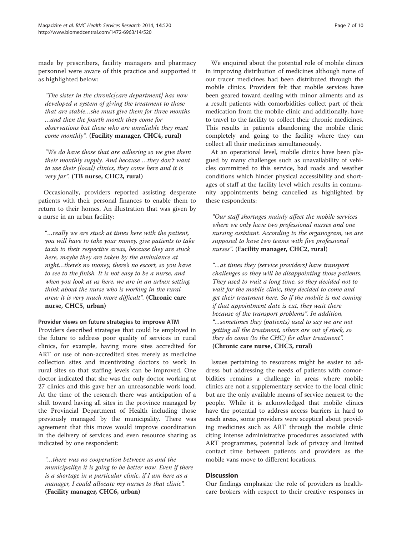made by prescribers, facility managers and pharmacy personnel were aware of this practice and supported it as highlighted below:

"The sister in the chronic[care department] has now developed a system of giving the treatment to those that are stable…she must give them for three months …and then the fourth month they come for observations but those who are unreliable they must come monthly". (Facility manager, CHC4, rural)

"We do have those that are adhering so we give them their monthly supply. And because …they don't want to use their (local) clinics, they come here and it is very far". (TB nurse, CHC2, rural)

Occasionally, providers reported assisting desperate patients with their personal finances to enable them to return to their homes. An illustration that was given by a nurse in an urban facility:

"…really we are stuck at times here with the patient, you will have to take your money, give patients to take taxis to their respective areas, because they are stuck here, maybe they are taken by the ambulance at night…there's no money, there's no escort, so you have to see to the finish. It is not easy to be a nurse, and when you look at us here, we are in an urban setting, think about the nurse who is working in the rural area; it is very much more difficult". (Chronic care nurse, CHC5, urban)

#### Provider views on future strategies to improve ATM

Providers described strategies that could be employed in the future to address poor quality of services in rural clinics, for example, having more sites accredited for ART or use of non-accredited sites merely as medicine collection sites and incentivizing doctors to work in rural sites so that staffing levels can be improved. One doctor indicated that she was the only doctor working at 27 clinics and this gave her an unreasonable work load. At the time of the research there was anticipation of a shift toward having all sites in the province managed by the Provincial Department of Health including those previously managed by the municipality. There was agreement that this move would improve coordination in the delivery of services and even resource sharing as indicated by one respondent:

"…there was no cooperation between us and the municipality; it is going to be better now. Even if there is a shortage in a particular clinic, if I am here as a manager, I could allocate my nurses to that clinic". (Facility manager, CHC6, urban)

We enquired about the potential role of mobile clinics in improving distribution of medicines although none of our tracer medicines had been distributed through the mobile clinics. Providers felt that mobile services have been geared toward dealing with minor ailments and as a result patients with comorbidities collect part of their medication from the mobile clinic and additionally, have to travel to the facility to collect their chronic medicines. This results in patients abandoning the mobile clinic completely and going to the facility where they can collect all their medicines simultaneously.

At an operational level, mobile clinics have been plagued by many challenges such as unavailability of vehicles committed to this service, bad roads and weather conditions which hinder physical accessibility and shortages of staff at the facility level which results in community appointments being cancelled as highlighted by these respondents:

"Our staff shortages mainly affect the mobile services where we only have two professional nurses and one nursing assistant. According to the organogram, we are supposed to have two teams with five professional nurses". (Facility manager, CHC2, rural)

"…at times they (service providers) have transport challenges so they will be disappointing those patients. They used to wait a long time, so they decided not to wait for the mobile clinic, they decided to come and get their treatment here. So if the mobile is not coming if that appointment date is cut, they wait there because of the transport problems". In addition, "…sometimes they (patients) used to say we are not getting all the treatment, others are out of stock, so they do come (to the CHC) for other treatment". (Chronic care nurse, CHC3, rural)

Issues pertaining to resources might be easier to address but addressing the needs of patients with comorbidities remains a challenge in areas where mobile clinics are not a supplementary service to the local clinic but are the only available means of service nearest to the people. While it is acknowledged that mobile clinics have the potential to address access barriers in hard to reach areas, some providers were sceptical about providing medicines such as ART through the mobile clinic citing intense administrative procedures associated with ART programmes, potential lack of privacy and limited contact time between patients and providers as the mobile vans move to different locations.

# **Discussion**

Our findings emphasize the role of providers as healthcare brokers with respect to their creative responses in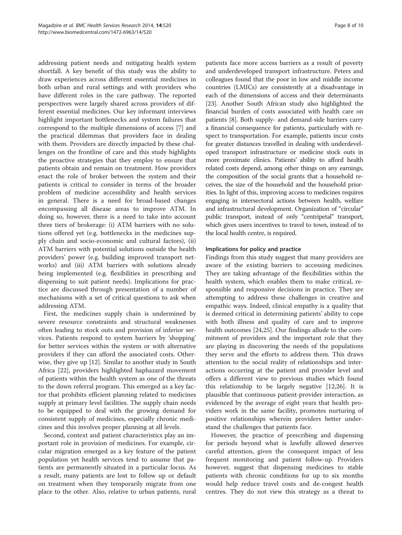addressing patient needs and mitigating health system shortfall. A key benefit of this study was the ability to draw experiences across different essential medicines in both urban and rural settings and with providers who have different roles in the care pathway. The reported perspectives were largely shared across providers of different essential medicines. Our key informant interviews highlight important bottlenecks and system failures that correspond to the multiple dimensions of access [\[7\]](#page-9-0) and the practical dilemmas that providers face in dealing with them. Providers are directly impacted by these challenges on the frontline of care and this study highlights the proactive strategies that they employ to ensure that patients obtain and remain on treatment. How providers enact the role of broker between the system and their patients is critical to consider in terms of the broader problem of medicine accessibility and health services in general. There is a need for broad-based changes encompassing all disease areas to improve ATM. In doing so, however, there is a need to take into account three tiers of brokerage: (i) ATM barriers with no solutions offered yet (e.g. bottlenecks in the medicines supply chain and socio-economic and cultural factors), (ii) ATM barriers with potential solutions outside the health providers' power (e.g. building improved transport networks) and (iii) ATM barriers with solutions already being implemented (e.g. flexibilities in prescribing and dispensing to suit patient needs). Implications for practice are discussed through presentation of a number of mechanisms with a set of critical questions to ask when addressing ATM.

First, the medicines supply chain is undermined by severe resource constraints and structural weaknesses often leading to stock outs and provision of inferior services. Patients respond to system barriers by 'shopping' for better services within the system or with alternative providers if they can afford the associated costs. Otherwise, they give up [\[12](#page-9-0)]. Similar to another study in South Africa [[22\]](#page-9-0), providers highlighted haphazard movement of patients within the health system as one of the threats to the down referral program. This emerged as a key factor that prohibits efficient planning related to medicines supply at primary level facilities. The supply chain needs to be equipped to deal with the growing demand for consistent supply of medicines, especially chronic medicines and this involves proper planning at all levels.

Second, context and patient characteristics play an important role in provision of medicines. For example, circular migration emerged as a key feature of the patient population yet health services tend to assume that patients are permanently situated in a particular locus. As a result, many patients are lost to follow up or default on treatment when they temporarily migrate from one place to the other. Also, relative to urban patients, rural

patients face more access barriers as a result of poverty and underdeveloped transport infrastructure. Peters and colleagues found that the poor in low and middle income countries (LMICs) are consistently at a disadvantage in each of the dimensions of access and their determinants [[23](#page-9-0)]. Another South African study also highlighted the financial burden of costs associated with health care on patients [[8\]](#page-9-0). Both supply- and demand-side barriers carry a financial consequence for patients, particularly with respect to transportation. For example, patients incur costs for greater distances travelled in dealing with underdeveloped transport infrastructure or medicine stock outs in more proximate clinics. Patients' ability to afford health related costs depend, among other things on any earnings, the composition of the social grants that a household receives, the size of the household and the household priorities. In light of this, improving access to medicines requires engaging in intersectoral actions between health, welfare and infrastructural development. Organization of "circular" public transport, instead of only "centripetal" transport, which gives users incentives to travel to town, instead of to the local health centre, is required.

# Implications for policy and practice

Findings from this study suggest that many providers are aware of the existing barriers to accessing medicines. They are taking advantage of the flexibilities within the health system, which enables them to make critical, responsible and responsive decisions in practice. They are attempting to address these challenges in creative and empathic ways. Indeed, clinical empathy is a quality that is deemed critical in determining patients' ability to cope with both illness and quality of care and to improve health outcomes [\[24,25](#page-9-0)]. Our findings allude to the commitment of providers and the important role that they are playing in discovering the needs of the populations they serve and the efforts to address them. This draws attention to the social reality of relationships and interactions occurring at the patient and provider level and offers a different view to previous studies which found this relationship to be largely negative [\[12,26](#page-9-0)]. It is plausible that continuous patient-provider interaction, as evidenced by the average of eight years that health providers work in the same facility, promotes nurturing of positive relationships wherein providers better understand the challenges that patients face.

However, the practice of prescribing and dispensing for periods beyond what is lawfully allowed deserves careful attention, given the consequent impact of less frequent monitoring and patient follow-up. Providers however, suggest that dispensing medicines to stable patients with chronic conditions for up to six months would help reduce travel costs and de-congest health centres. They do not view this strategy as a threat to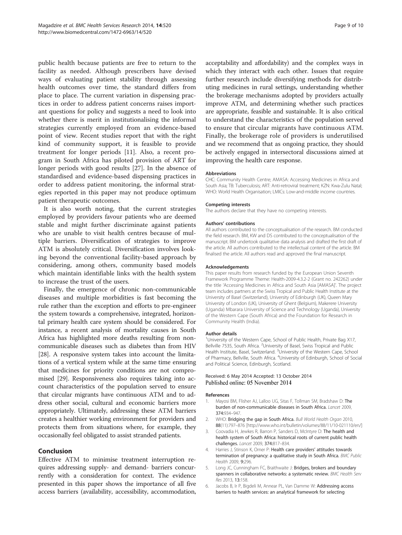<span id="page-8-0"></span>public health because patients are free to return to the facility as needed. Although prescribers have devised ways of evaluating patient stability through assessing health outcomes over time, the standard differs from place to place. The current variation in dispensing practices in order to address patient concerns raises important questions for policy and suggests a need to look into whether there is merit in institutionalising the informal strategies currently employed from an evidence-based point of view. Recent studies report that with the right kind of community support, it is feasible to provide treatment for longer periods [\[11](#page-9-0)]. Also, a recent program in South Africa has piloted provision of ART for longer periods with good results [\[27\]](#page-9-0). In the absence of standardised and evidence-based dispensing practices in order to address patient monitoring, the informal strategies reported in this paper may not produce optimum patient therapeutic outcomes.

It is also worth noting, that the current strategies employed by providers favour patients who are deemed stable and might further discriminate against patients who are unable to visit health centres because of multiple barriers. Diversification of strategies to improve ATM is absolutely critical. Diversification involves looking beyond the conventional facility-based approach by considering, among others, community based models which maintain identifiable links with the health system to increase the trust of the users.

Finally, the emergence of chronic non-communicable diseases and multiple morbidities is fast becoming the rule rather than the exception and efforts to pre-engineer the system towards a comprehensive, integrated, horizontal primary health care system should be considered. For instance, a recent analysis of mortality causes in South Africa has highlighted more deaths resulting from noncommunicable diseases such as diabetes than from HIV [[28](#page-9-0)]. A responsive system takes into account the limitations of a vertical system while at the same time ensuring that medicines for priority conditions are not compromised [[29](#page-9-0)]. Responsiveness also requires taking into account characteristics of the population served to ensure that circular migrants have continuous ATM and to address other social, cultural and economic barriers more appropriately. Ultimately, addressing these ATM barriers creates a healthier working environment for providers and protects them from situations where, for example, they occasionally feel obligated to assist stranded patients.

# Conclusion

Effective ATM to minimise treatment interruption requires addressing supply- and demand- barriers concurrently with a consideration for context. The evidence presented in this paper shows the importance of all five access barriers (availability, accessibility, accommodation, acceptability and affordability) and the complex ways in which they interact with each other. Issues that require further research include diversifying methods for distributing medicines in rural settings, understanding whether the brokerage mechanisms adopted by providers actually improve ATM, and determining whether such practices are appropriate, feasible and sustainable. It is also critical to understand the characteristics of the population served to ensure that circular migrants have continuous ATM. Finally, the brokerage role of providers is underutilised and we recommend that as ongoing practice, they should be actively engaged in intersectoral discussions aimed at improving the health care response.

#### Abbreviations

CHC: Community Health Centre; AMASA: Accessing Medicines in Africa and South Asia; TB: Tuberculosis; ART: Anti-retroviral treatment; KZN: Kwa-Zulu Natal; WHO: World Health Organisation; LMICs: Low-and-middle income countries.

#### Competing interests

The authors declare that they have no competing interests.

#### Authors' contributions

All authors contributed to the conceptualisation of the research. BM conducted the field research. BM, KW and DS contributed to the conceptualisation of the manuscript. BM undertook qualitative data analysis and drafted the first draft of the article. All authors contributed to the intellectual content of the article. BM finalised the article. All authors read and approved the final manuscript.

#### Acknowledgements

This paper results from research funded by the European Union Seventh Framework Programme Theme: Health-2009-4.3.2-2 (Grant no. 242262) under the title 'Accessing Medicines in Africa and South Asia [AMASA]'. The project team includes partners at the Swiss Tropical and Public Health Institute at the University of Basel (Switzerland), University of Edinburgh (UK), Queen Mary University of London (UK), University of Ghent (Belgium), Makerere University (Uganda) Mbarara University of Science and Technology (Uganda), University of the Western Cape (South Africa) and the Foundation for Research in Community Health (India).

#### Author details

<sup>1</sup>University of the Western Cape, School of Public Health, Private Bag X17, Bellville 7535, South Africa. <sup>2</sup>University of Basel, Swiss Tropical and Public Health Institute, Basel, Switzerland. <sup>3</sup>University of the Western Cape, School of Pharmacy, Bellville, South Africa. <sup>4</sup>University of Edinburgh, School of Social and Political Science, Edinburgh, Scotland.

#### Received: 6 May 2014 Accepted: 13 October 2014 Published online: 05 November 2014

#### References

- 1. Mayosi BM, Flisher AJ, Lalloo UG, Sitas F, Tollman SM, Bradshaw D: The burden of non-communicable diseases in South Africa. Lancet 2009, 374:934–947.
- 2. WHO: Bridging the gap in South Africa. Bull World Health Organ 2010, 88(11):797–876 [<http://www.who.int/bulletin/volumes/88/11/10-021110/en/>]
- 3. Coovadia H, Jewkes R, Barron P, Sanders D, McIntyre D: The health and health system of South Africa: historical roots of current public health challenges. Lancet 2009, 374:817–834.
- 4. Harries J, Stinson K, Orner P: Health care providers' attitudes towards termination of pregnancy: a qualitative study in South Africa. BMC Public Health 2009, 9:296.
- 5. Long JC, Cunningham FC, Braithwaite J: Bridges, brokers and boundary spanners in collaborative networks: a systematic review. BMC Health Serv Res 2013, 13:158.
- 6. Jacobs B, Ir P, Bigdeli M, Annear PL, Van Damme W: Addressing access barriers to health services: an analytical framework for selecting